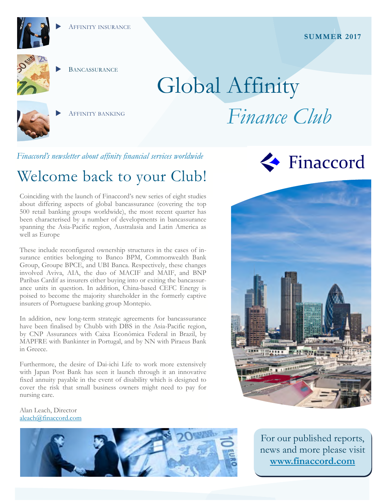



**BANCASSURANCE** 

AFFINITY BANKING

# Global Affinity *Finance Club*

*Finaccord's newsletter about affinity financial services worldwide* 

# Welcome back to your Club!

Coinciding with the launch of Finaccord's new series of eight studies about differing aspects of global bancassurance (covering the top 500 retail banking groups worldwide), the most recent quarter has been characterised by a number of developments in bancassurance spanning the Asia-Pacific region, Australasia and Latin America as well as Europe

These include reconfigured ownership structures in the cases of insurance entities belonging to Banco BPM, Commonwealth Bank Group, Groupe BPCE, and UBI Banca. Respectively, these changes involved Aviva, AIA, the duo of MACIF and MAIF, and BNP Paribas Cardif as insurers either buying into or exiting the bancassurance units in question. In addition, China-based CEFC Energy is poised to become the majority shareholder in the formerly captive insurers of Portuguese banking group Montepio.

In addition, new long-term strategic agreements for bancassurance have been finalised by Chubb with DBS in the Asia-Pacific region, by CNP Assurances with Caixa Econômica Federal in Brazil, by MAPFRE with Bankinter in Portugal, and by NN with Piraeus Bank in Greece.

Furthermore, the desire of Dai-ichi Life to work more extensively with Japan Post Bank has seen it launch through it an innovative fixed annuity payable in the event of disability which is designed to cover the risk that small business owners might need to pay for nursing care.

Alan Leach, Director aleach@finaccord.com







For our published reports, news and more please visit **www.finaccord.com**

#### **SUMMER 2017**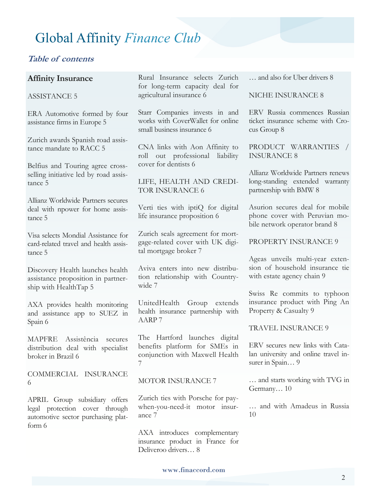#### **Table of contents**

#### **Affinity Insurance**

#### ASSISTANCE 5

ERA Automotive formed by four assistance firms in Europe 5

Zurich awards Spanish road assistance mandate to RACC 5

Belfius and Touring agree crossselling initiative led by road assistance 5

Allianz Worldwide Partners secures deal with npower for home assistance 5

Visa selects Mondial Assistance for card-related travel and health assistance 5

Discovery Health launches health assistance proposition in partnership with HealthTap 5

AXA provides health monitoring and assistance app to SUEZ in Spain 6

MAPFRE Assistência secures distribution deal with specialist broker in Brazil 6

COMMERCIAL INSURANCE 6

APRIL Group subsidiary offers legal protection cover through automotive sector purchasing platform 6

Rural Insurance selects Zurich for long-term capacity deal for agricultural insurance 6

Starr Companies invests in and works with CoverWallet for online small business insurance 6

CNA links with Aon Affinity to roll out professional liability cover for dentists 6

LIFE, HEALTH AND CREDI-TOR INSURANCE 6

Verti ties with iptiQ for digital life insurance proposition 6

Zurich seals agreement for mortgage-related cover with UK digital mortgage broker 7

Aviva enters into new distribution relationship with Countrywide 7

UnitedHealth Group extends health insurance partnership with AARP 7

The Hartford launches digital benefits platform for SMEs in conjunction with Maxwell Health 7

#### MOTOR INSURANCE 7

Zurich ties with Porsche for paywhen-you-need-it motor insurance 7

AXA introduces complementary insurance product in France for Deliveroo drivers… 8

… and also for Uber drivers 8

NICHE INSURANCE 8

ERV Russia commences Russian ticket insurance scheme with Crocus Group 8

PRODUCT WARRANTIES / INSURANCE 8

Allianz Worldwide Partners renews long-standing extended warranty partnership with BMW 8

Asurion secures deal for mobile phone cover with Peruvian mobile network operator brand 8

PROPERTY INSURANCE 9

Ageas unveils multi-year extension of household insurance tie with estate agency chain 9

Swiss Re commits to typhoon insurance product with Ping An Property & Casualty 9

TRAVEL INSURANCE 9

ERV secures new links with Catalan university and online travel insurer in Spain... 9

… and starts working with TVG in Germany… 10

… and with Amadeus in Russia 10

www.finaccord.com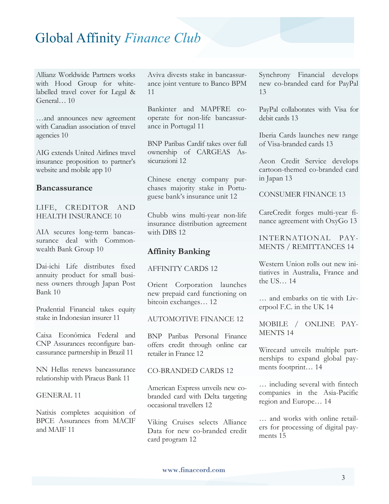Allianz Worldwide Partners works with Hood Group for whitelabelled travel cover for Legal & General… 10

…and announces new agreement with Canadian association of travel agencies 10

AIG extends United Airlines travel insurance proposition to partner's website and mobile app 10

#### **Bancassurance**

LIFE, CREDITOR AND HEALTH INSURANCE 10

AIA secures long-term bancassurance deal with Commonwealth Bank Group 10

Dai-ichi Life distributes fixed annuity product for small business owners through Japan Post Bank 10

Prudential Financial takes equity stake in Indonesian insurer 11

Caixa Econômica Federal and CNP Assurances reconfigure bancassurance partnership in Brazil 11

NN Hellas renews bancassurance relationship with Piraeus Bank 11

#### GENERAL 11

Natixis completes acquisition of BPCE Assurances from MACIF and MAIF 11

Aviva divests stake in bancassurance joint venture to Banco BPM 11

Bankinter and MAPFRE cooperate for non-life bancassurance in Portugal 11

BNP Paribas Cardif takes over full ownership of CARGEAS Assicurazioni 12

Chinese energy company purchases majority stake in Portuguese bank's insurance unit 12

Chubb wins multi-year non-life insurance distribution agreement with DBS 12

#### **Affinity Banking**

AFFINITY CARDS 12

Orient Corporation launches new prepaid card functioning on bitcoin exchanges… 12

AUTOMOTIVE FINANCE 12

BNP Paribas Personal Finance offers credit through online car retailer in France 12

#### CO-BRANDED CARDS 12

American Express unveils new cobranded card with Delta targeting occasional travellers 12

Viking Cruises selects Alliance Data for new co-branded credit card program 12

Synchrony Financial develops new co-branded card for PayPal 13

PayPal collaborates with Visa for debit cards 13

Iberia Cards launches new range of Visa-branded cards 13

Aeon Credit Service develops cartoon-themed co-branded card in Japan 13

CONSUMER FINANCE 13

CareCredit forges multi-year finance agreement with OxyGo 13

INTERNATIONAL PAY-MENTS / REMITTANCES 14

Western Union rolls out new initiatives in Australia, France and the US… 14

… and embarks on tie with Liverpool F.C. in the UK 14

MOBILE / ONLINE PAY-MENTS 14

Wirecard unveils multiple partnerships to expand global payments footprint… 14

… including several with fintech companies in the Asia-Pacific region and Europe… 14

… and works with online retailers for processing of digital payments 15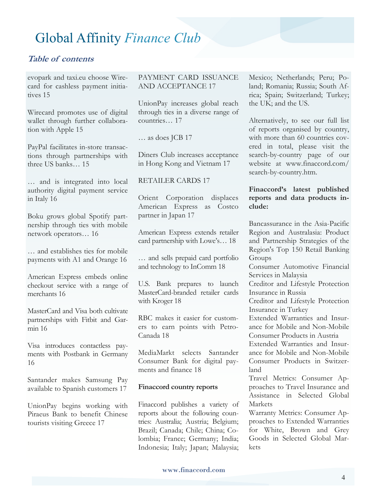#### **Table of contents**

evopark and taxi.eu choose Wirecard for cashless payment initiatives 15

Wirecard promotes use of digital wallet through further collaboration with Apple 15

PayPal facilitates in-store transactions through partnerships with three US banks… 15

… and is integrated into local authority digital payment service in Italy 16

Boku grows global Spotify partnership through ties with mobile network operators… 16

… and establishes ties for mobile payments with A1 and Orange 16

American Express embeds online checkout service with a range of merchants 16

MasterCard and Visa both cultivate partnerships with Fitbit and Garmin 16

Visa introduces contactless payments with Postbank in Germany 16

Santander makes Samsung Pay available to Spanish customers 17

UnionPay begins working with Piraeus Bank to benefit Chinese tourists visiting Greece 17

PAYMENT CARD ISSUANCE AND ACCEPTANCE 17

UnionPay increases global reach through ties in a diverse range of countries… 17

… as does JCB 17

Diners Club increases acceptance in Hong Kong and Vietnam 17

RETAILER CARDS 17

Orient Corporation displaces American Express as Costco partner in Japan 17

American Express extends retailer card partnership with Lowe's… 18

… and sells prepaid card portfolio and technology to InComm 18

U.S. Bank prepares to launch MasterCard-branded retailer cards with Kroger 18

RBC makes it easier for customers to earn points with Petro-Canada 18

MediaMarkt selects Santander Consumer Bank for digital payments and finance 18

#### **Finaccord country reports**

Finaccord publishes a variety of reports about the following countries: Australia; Austria; Belgium; Brazil; Canada; Chile; China; Colombia; France; Germany; India; Indonesia; Italy; Japan; Malaysia;

Mexico; Netherlands; Peru; Poland; Romania; Russia; South Africa; Spain; Switzerland; Turkey; the UK; and the US.

Alternatively, to see our full list of reports organised by country, with more than 60 countries covered in total, please visit the search-by-country page of our website at www.finaccord.com/ search-by-country.htm.

#### **Finaccord's latest published reports and data products include:**

Bancassurance in the Asia-Pacific Region and Australasia: Product and Partnership Strategies of the Region's Top 150 Retail Banking Groups

Consumer Automotive Financial Services in Malaysia

Creditor and Lifestyle Protection Insurance in Russia

Creditor and Lifestyle Protection Insurance in Turkey

Extended Warranties and Insurance for Mobile and Non-Mobile Consumer Products in Austria

Extended Warranties and Insurance for Mobile and Non-Mobile Consumer Products in Switzerland

Travel Metrics: Consumer Approaches to Travel Insurance and Assistance in Selected Global **Markets** 

Warranty Metrics: Consumer Approaches to Extended Warranties for White, Brown and Grey Goods in Selected Global Markets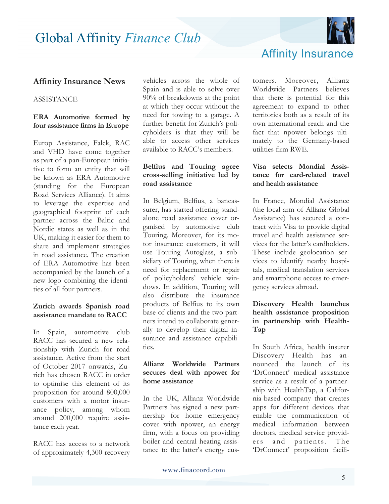

### Affinity Insurance

#### **Affinity Insurance News**

#### **ASSISTANCE**

#### **ERA Automotive formed by four assistance firms in Europe**

Europ Assistance, Falck, RAC and VHD have come together as part of a pan-European initiative to form an entity that will be known as ERA Automotive (standing for the European Road Services Alliance). It aims to leverage the expertise and geographical footprint of each partner across the Baltic and Nordic states as well as in the UK, making it easier for them to share and implement strategies in road assistance. The creation of ERA Automotive has been accompanied by the launch of a new logo combining the identities of all four partners.

#### **Zurich awards Spanish road assistance mandate to RACC**

In Spain, automotive club RACC has secured a new relationship with Zurich for road assistance. Active from the start of October 2017 onwards, Zurich has chosen RACC in order to optimise this element of its proposition for around 800,000 customers with a motor insurance policy, among whom around 200,000 require assistance each year.

RACC has access to a network of approximately 4,300 recovery vehicles across the whole of Spain and is able to solve over 90% of breakdowns at the point at which they occur without the need for towing to a garage. A further benefit for Zurich's policyholders is that they will be able to access other services available to RACC's members.

#### **Belfius and Touring agree cross-selling initiative led by road assistance**

In Belgium, Belfius, a bancassurer, has started offering standalone road assistance cover organised by automotive club Touring. Moreover, for its motor insurance customers, it will use Touring Autoglass, a subsidiary of Touring, when there is need for replacement or repair of policyholders' vehicle windows. In addition, Touring will also distribute the insurance products of Belfius to its own base of clients and the two partners intend to collaborate generally to develop their digital insurance and assistance capabilities.

#### **Allianz Worldwide Partners secures deal with npower for home assistance**

In the UK, Allianz Worldwide Partners has signed a new partnership for home emergency cover with npower, an energy firm, with a focus on providing boiler and central heating assistance to the latter's energy customers. Moreover, Allianz Worldwide Partners believes that there is potential for this agreement to expand to other territories both as a result of its own international reach and the fact that npower belongs ultimately to the Germany-based utilities firm RWE.

#### **Visa selects Mondial Assistance for card-related travel and health assistance**

In France, Mondial Assistance (the local arm of Allianz Global Assistance) has secured a contract with Visa to provide digital travel and health assistance services for the latter's cardholders. These include geolocation services to identify nearby hospitals, medical translation services and smartphone access to emergency services abroad.

#### **Discovery Health launches health assistance proposition in partnership with Health-Tap**

In South Africa, health insurer Discovery Health has announced the launch of its 'DrConnect' medical assistance service as a result of a partnership with HealthTap, a California-based company that creates apps for different devices that enable the communication of medical information between doctors, medical service providers and patients. The 'DrConnect' proposition facili-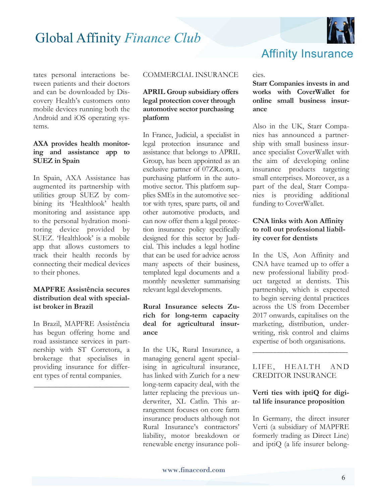

tates personal interactions between patients and their doctors and can be downloaded by Discovery Health's customers onto mobile devices running both the Android and iOS operating systems.

#### **AXA provides health monitoring and assistance app to SUEZ in Spain**

In Spain, AXA Assistance has augmented its partnership with utilities group SUEZ by combining its 'Healthlook' health monitoring and assistance app to the personal hydration monitoring device provided by SUEZ. 'Healthlook' is a mobile app that allows customers to track their health records by connecting their medical devices to their phones.

#### **MAPFRE Assistência secures distribution deal with specialist broker in Brazil**

In Brazil, MAPFRE Assistência has begun offering home and road assistance services in partnership with ST Corretora, a brokerage that specialises in providing insurance for different types of rental companies.

**\_\_\_\_\_\_\_\_\_\_\_\_\_\_\_\_\_\_\_\_\_\_\_\_\_\_** 

#### COMMERCIAL INSURANCE

#### **APRIL Group subsidiary offers legal protection cover through automotive sector purchasing platform**

In France, Judicial, a specialist in legal protection insurance and assistance that belongs to APRIL Group, has been appointed as an exclusive partner of 07ZR.com, a purchasing platform in the automotive sector. This platform supplies SMEs in the automotive sector with tyres, spare parts, oil and other automotive products, and can now offer them a legal protection insurance policy specifically designed for this sector by Judicial. This includes a legal hotline that can be used for advice across many aspects of their business, templated legal documents and a monthly newsletter summarising relevant legal developments.

#### **Rural Insurance selects Zurich for long-term capacity deal for agricultural insurance**

In the UK, Rural Insurance, a managing general agent specialising in agricultural insurance, has linked with Zurich for a new long-term capacity deal, with the latter replacing the previous underwriter, XL Catlin. This arrangement focuses on core farm insurance products although not Rural Insurance's contractors' liability, motor breakdown or renewable energy insurance policies.

#### **Starr Companies invests in and works with CoverWallet for online small business insurance**

Affinity Insurance

Also in the UK, Starr Companies has announced a partnership with small business insurance specialist CoverWallet with the aim of developing online insurance products targeting small enterprises. Moreover, as a part of the deal, Starr Companies is providing additional funding to CoverWallet.

#### **CNA links with Aon Affinity to roll out professional liability cover for dentists**

In the US, Aon Affinity and CNA have teamed up to offer a new professional liability product targeted at dentists. This partnership, which is expected to begin serving dental practices across the US from December 2017 onwards, capitalises on the marketing, distribution, underwriting, risk control and claims expertise of both organisations.

#### LIFE, HEALTH AND CREDITOR INSURANCE

**\_\_\_\_\_\_\_\_\_\_\_\_\_\_\_\_\_\_\_\_\_\_\_\_\_\_** 

#### **Verti ties with iptiQ for digital life insurance proposition**

In Germany, the direct insurer Verti (a subsidiary of MAPFRE formerly trading as Direct Line) and iptiQ (a life insurer belong-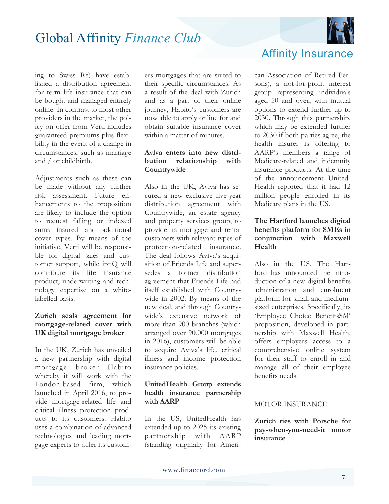

ing to Swiss Re) have established a distribution agreement for term life insurance that can be bought and managed entirely online. In contrast to most other providers in the market, the policy on offer from Verti includes guaranteed premiums plus flexibility in the event of a change in circumstances, such as marriage and / or childbirth.

Adjustments such as these can be made without any further risk assessment. Future enhancements to the proposition are likely to include the option to request falling or indexed sums insured and additional cover types. By means of the initiative, Verti will be responsible for digital sales and customer support, while iptiQ will contribute its life insurance product, underwriting and technology expertise on a whitelabelled basis.

#### **Zurich seals agreement for mortgage-related cover with UK digital mortgage broker**

In the UK, Zurich has unveiled a new partnership with digital mortgage broker Habito whereby it will work with the London-based firm, which launched in April 2016, to provide mortgage-related life and critical illness protection products to its customers. Habito uses a combination of advanced technologies and leading mortgage experts to offer its customers mortgages that are suited to their specific circumstances. As a result of the deal with Zurich and as a part of their online journey, Habito's customers are now able to apply online for and obtain suitable insurance cover within a matter of minutes.

#### **Aviva enters into new distribution relationship with Countrywide**

Also in the UK, Aviva has secured a new exclusive five-year distribution agreement with Countrywide, an estate agency and property services group, to provide its mortgage and rental customers with relevant types of protection-related insurance. The deal follows Aviva's acquisition of Friends Life and supersedes a former distribution agreement that Friends Life had itself established with Countrywide in 2002. By means of the new deal, and through Countrywide's extensive network of more than 900 branches (which arranged over 90,000 mortgages in 2016), customers will be able to acquire Aviva's life, critical illness and income protection insurance policies.

#### **UnitedHealth Group extends health insurance partnership with AARP**

In the US, UnitedHealth has extended up to 2025 its existing partnership with AARP (standing originally for Ameri-

### Affinity Insurance

can Association of Retired Persons), a not-for-profit interest group representing individuals aged 50 and over, with mutual options to extend further up to 2030. Through this partnership, which may be extended further to 2030 if both parties agree, the health insurer is offering to AARP's members a range of Medicare-related and indemnity insurance products. At the time of the announcement United-Health reported that it had 12 million people enrolled in its Medicare plans in the US.

#### **The Hartford launches digital benefits platform for SMEs in conjunction with Maxwell Health**

Also in the US, The Hartford has announced the introduction of a new digital benefits administration and enrolment platform for small and mediumsized enterprises. Specifically, its 'Employee Choice BenefitsSM' proposition, developed in partnership with Maxwell Health, offers employers access to a comprehensive online system for their staff to enroll in and manage all of their employee benefits needs.

#### MOTOR INSURANCE

**Zurich ties with Porsche for pay-when-you-need-it motor insurance** 

**\_\_\_\_\_\_\_\_\_\_\_\_\_\_\_\_\_\_\_\_\_\_\_\_\_\_**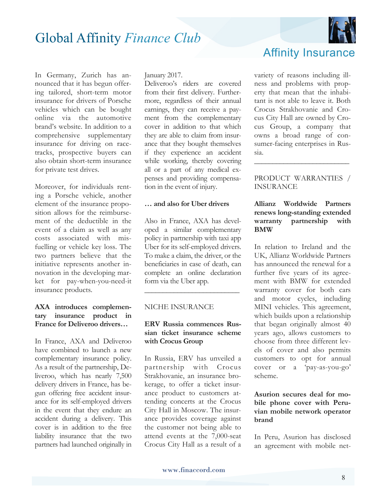In Germany, Zurich has announced that it has begun offering tailored, short-term motor insurance for drivers of Porsche vehicles which can be bought online via the automotive brand's website. In addition to a comprehensive supplementary insurance for driving on racetracks, prospective buyers can also obtain short-term insurance for private test drives.

Moreover, for individuals renting a Porsche vehicle, another element of the insurance proposition allows for the reimbursement of the deductible in the event of a claim as well as any costs associated with misfuelling or vehicle key loss. The two partners believe that the initiative represents another innovation in the developing market for pay-when-you-need-it insurance products.

#### **AXA introduces complementary insurance product in France for Deliveroo drivers…**

In France, AXA and Deliveroo have combined to launch a new complementary insurance policy. As a result of the partnership, Deliveroo, which has nearly 7,500 delivery drivers in France, has begun offering free accident insurance for its self-employed drivers in the event that they endure an accident during a delivery. This cover is in addition to the free liability insurance that the two partners had launched originally in January 2017.

Deliveroo's riders are covered from their first delivery. Furthermore, regardless of their annual earnings, they can receive a payment from the complementary cover in addition to that which they are able to claim from insurance that they bought themselves if they experience an accident while working, thereby covering all or a part of any medical expenses and providing compensation in the event of injury.

#### **… and also for Uber drivers**

Also in France, AXA has developed a similar complementary policy in partnership with taxi app Uber for its self-employed drivers. To make a claim, the driver, or the beneficiaries in case of death, can complete an online declaration form via the Uber app.

**\_\_\_\_\_\_\_\_\_\_\_\_\_\_\_\_\_\_\_\_\_\_\_\_\_\_**

#### NICHE INSURANCE

#### **ERV Russia commences Russian ticket insurance scheme with Crocus Group**

In Russia, ERV has unveiled a partnership with Crocus Strakhovanie, an insurance brokerage, to offer a ticket insurance product to customers attending concerts at the Crocus City Hall in Moscow. The insurance provides coverage against the customer not being able to attend events at the 7,000-seat Crocus City Hall as a result of a variety of reasons including illness and problems with property that mean that the inhabitant is not able to leave it. Both Crocus Strakhovanie and Cro-Affinity Insurance

cus City Hall are owned by Crocus Group, a company that owns a broad range of consumer-facing enterprises in Russia.

#### PRODUCT WARRANTIES / INSURANCE

**\_\_\_\_\_\_\_\_\_\_\_\_\_\_\_\_\_\_\_\_\_\_\_\_\_\_** 

#### **Allianz Worldwide Partners renews long-standing extended warranty partnership with BMW**

In relation to Ireland and the UK, Allianz Worldwide Partners has announced the renewal for a further five years of its agreement with BMW for extended warranty cover for both cars and motor cycles, including MINI vehicles. This agreement, which builds upon a relationship that began originally almost 40 years ago, allows customers to choose from three different levels of cover and also permits customers to opt for annual cover or a 'pay-as-you-go' scheme.

#### **Asurion secures deal for mobile phone cover with Peruvian mobile network operator brand**

In Peru, Asurion has disclosed an agreement with mobile net-

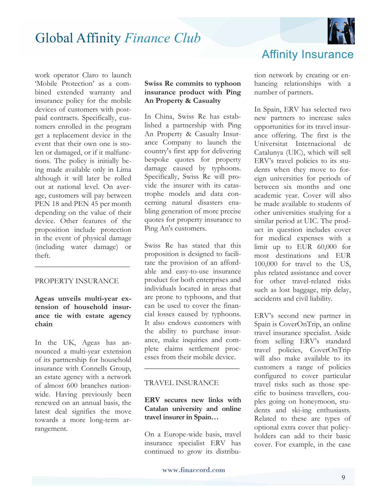

work operator Claro to launch 'Mobile Protection' as a combined extended warranty and insurance policy for the mobile devices of customers with postpaid contracts. Specifically, customers enrolled in the program get a replacement device in the event that their own one is stolen or damaged, or if it malfunctions. The policy is initially being made available only in Lima although it will later be rolled out at national level. On average, customers will pay between PEN 18 and PEN 45 per month depending on the value of their device. Other features of the proposition include protection in the event of physical damage (including water damage) or theft.

#### PROPERTY INSURANCE

**\_\_\_\_\_\_\_\_\_\_\_\_\_\_\_\_\_\_\_\_\_\_\_\_\_\_** 

**Ageas unveils multi-year extension of household insurance tie with estate agency chain** 

In the UK, Ageas has announced a multi-year extension of its partnership for household insurance with Connells Group, an estate agency with a network of almost 600 branches nationwide. Having previously been renewed on an annual basis, the latest deal signifies the move towards a more long-term arrangement.

#### **Swiss Re commits to typhoon insurance product with Ping An Property & Casualty**

In China, Swiss Re has established a partnership with Ping An Property & Casualty Insurance Company to launch the country's first app for delivering bespoke quotes for property damage caused by typhoons. Specifically, Swiss Re will provide the insurer with its catastrophe models and data concerning natural disasters enabling generation of more precise quotes for property insurance to Ping An's customers.

Swiss Re has stated that this proposition is designed to facilitate the provision of an affordable and easy-to-use insurance product for both enterprises and individuals located in areas that are prone to typhoons, and that can be used to cover the financial losses caused by typhoons. It also endows customers with the ability to purchase insurance, make inquiries and complete claims settlement processes from their mobile device.

#### TRAVEL INSURANCE

#### **ERV secures new links with Catalan university and online travel insurer in Spain…**

**\_\_\_\_\_\_\_\_\_\_\_\_\_\_\_\_\_\_\_\_\_\_\_\_\_\_** 

On a Europe-wide basis, travel insurance specialist ERV has continued to grow its distribuAffinity Insurance

tion network by creating or enhancing relationships with a number of partners.

In Spain, ERV has selected two new partners to increase sales opportunities for its travel insurance offering. The first is the Universitat Internacional de Catalunya (UIC), which will sell ERV's travel policies to its students when they move to foreign universities for periods of between six months and one academic year. Cover will also be made available to students of other universities studying for a similar period at UIC. The product in question includes cover for medical expenses with a limit up to EUR 60,000 for most destinations and EUR 100,000 for travel to the US, plus related assistance and cover for other travel-related risks such as lost baggage, trip delay, accidents and civil liability.

ERV's second new partner in Spain is CoverOnTrip, an online travel insurance specialist. Aside from selling ERV's standard travel policies, CoverOnTrip will also make available to its customers a range of policies configured to cover particular travel risks such as those specific to business travellers, couples going on honeymoon, students and ski-ing enthusiasts. Related to these are types of optional extra cover that policyholders can add to their basic cover. For example, in the case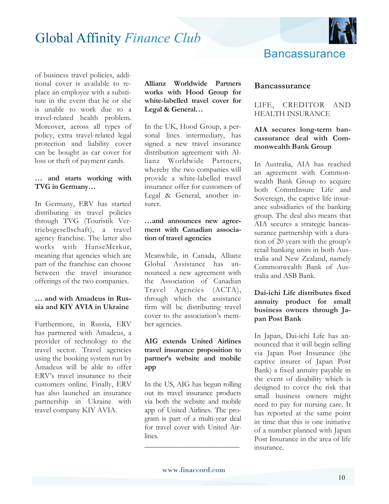

of business travel policies, additional cover is available to replace an employee with a substitute in the event that he or she is unable to work due to a travel-related health problem. Moreover, across all types of policy, extra travel-related legal protection and liability cover can be bought as car cover for loss or theft of payment cards.

#### **… and starts working with TVG in Germany…**

In Germany, ERV has started distributing its travel policies through TVG (Touristik Vertriebsgesellschaft), a travel agency franchise. The latter also works with HanseMerkur, meaning that agencies which are part of the franchise can choose between the travel insurance offerings of the two companies.

#### **… and with Amadeus in Russia and KIY AVIA in Ukraine**

Furthermore, in Russia, ERV has partnered with Amadeus, a provider of technology to the travel sector. Travel agencies using the booking system run by Amadeus will be able to offer ERV's travel insurance to their customers online. Finally, ERV has also launched an insurance partnership in Ukraine with travel company KIY AVIA.

#### **Allianz Worldwide Partners works with Hood Group for white-labelled travel cover for Legal & General…**

In the UK, Hood Group, a personal lines intermediary, has signed a new travel insurance distribution agreement with Allianz Worldwide Partners, whereby the two companies will provide a white-labelled travel insurance offer for customers of Legal & General, another insurer.

#### **…and announces new agreement with Canadian association of travel agencies**

Meanwhile, in Canada, Allianz Global Assistance has announced a new agreement with the Association of Canadian Travel Agencies (ACTA), through which the assistance firm will be distributing travel cover to the association's member agencies.

#### **AIG extends United Airlines travel insurance proposition to partner's website and mobile app**

In the US, AIG has begun rolling out its travel insurance products via both the website and mobile app of United Airlines. The program is part of a multi-year deal for travel cover with United Airlines.

#### **Bancassurance**

#### LIFE, CREDITOR AND HEALTH INSURANCE

#### **AIA secures long-term bancassurance deal with Commonwealth Bank Group**

In Australia, AIA has reached an agreement with Commonwealth Bank Group to acquire both CommInsure Life and Sovereign, the captive life insurance subsidiaries of the banking group. The deal also means that AIA secures a strategic bancassurance partnership with a duration of 20 years with the group's retail banking units in both Australia and New Zealand, namely Commonwealth Bank of Australia and ASB Bank.

#### **Dai-ichi Life distributes fixed annuity product for small business owners through Japan Post Bank**

In Japan, Dai-ichi Life has announced that it will begin selling via Japan Post Insurance (the captive insurer of Japan Post Bank) a fixed annuity payable in the event of disability which is designed to cover the risk that small business owners might need to pay for nursing care. It has reported at the same point in time that this is one initiative of a number planned with Japan Post Insurance in the area of life insurance.

**\_\_\_\_\_\_\_\_\_\_\_\_\_\_\_\_\_\_\_\_\_\_\_\_\_\_**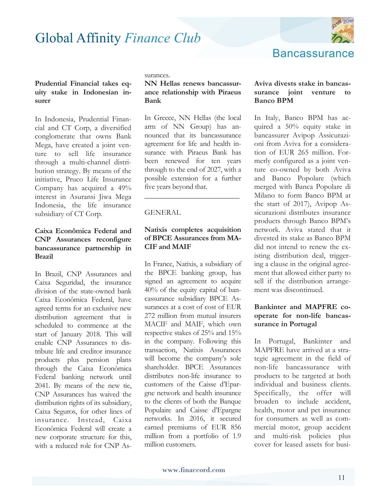

### **Bancassurance**

#### **Prudential Financial takes equity stake in Indonesian insurer**

In Indonesia, Prudential Financial and CT Corp, a diversified conglomerate that owns Bank Mega, have created a joint venture to sell life insurance through a multi-channel distribution strategy. By means of the initiative, Pruco Life Insurance Company has acquired a 49% interest in Asuransi Jiwa Mega Indonesia, the life insurance subsidiary of CT Corp.

#### **Caixa Econômica Federal and CNP Assurances reconfigure bancassurance partnership in Brazil**

In Brazil, CNP Assurances and Caixa Seguridad, the insurance division of the state-owned bank Caixa Econômica Federal, have agreed terms for an exclusive new distribution agreement that is scheduled to commence at the start of January 2018. This will enable CNP Assurances to distribute life and creditor insurance products plus pension plans through the Caixa Econômica Federal banking network until 2041. By means of the new tie, CNP Assurances has waived the distribution rights of its subsidiary, Caixa Seguros, for other lines of insurance. Instead, Caixa Econômica Federal will create a new corporate structure for this, with a reduced role for CNP Assurances.

#### **NN Hellas renews bancassurance relationship with Piraeus Bank**

In Greece, NN Hellas (the local arm of NN Group) has announced that its bancassurance agreement for life and health insurance with Piraeus Bank has been renewed for ten years through to the end of 2027, with a possible extension for a further five years beyond that.

#### GENERAL

#### **Natixis completes acquisition of BPCE Assurances from MA-CIF and MAIF**

**\_\_\_\_\_\_\_\_\_\_\_\_\_\_\_\_\_\_\_\_\_\_\_\_\_\_** 

In France, Natixis, a subsidiary of the BPCE banking group, has signed an agreement to acquire 40% of the equity capital of bancassurance subsidiary BPCE Assurances at a cost of cost of EUR 272 million from mutual insurers MACIF and MAIF, which own respective stakes of 25% and 15% in the company. Following this transaction, Natixis Assurances will become the company's sole shareholder. BPCE Assurances distributes non-life insurance to customers of the Caisse d'Epargne network and health insurance to the clients of both the Banque Populaire and Caisse d'Epargne networks. In 2016, it secured earned premiums of EUR 856 million from a portfolio of 1.9 million customers.

#### **Aviva divests stake in bancassurance joint venture to Banco BPM**

In Italy, Banco BPM has acquired a 50% equity stake in bancassurer Avipop Assicurazioni from Aviva for a consideration of EUR 265 million. Formerly configured as a joint venture co-owned by both Aviva and Banco Popolare (which merged with Banca Popolare di Milano to form Banco BPM at the start of 2017), Avipop Assicurazioni distributes insurance products through Banco BPM's network. Aviva stated that it divested its stake as Banco BPM did not intend to renew the existing distribution deal, triggering a clause in the original agreement that allowed either party to sell if the distribution arrangement was discontinued.

#### **Bankinter and MAPFRE cooperate for non-life bancassurance in Portugal**

In Portugal, Bankinter and MAPFRE have arrived at a strategic agreement in the field of non-life bancassurance with products to be targeted at both individual and business clients. Specifically, the offer will broaden to include accident, health, motor and pet insurance for consumers as well as commercial motor, group accident and multi-risk policies plus cover for leased assets for busi-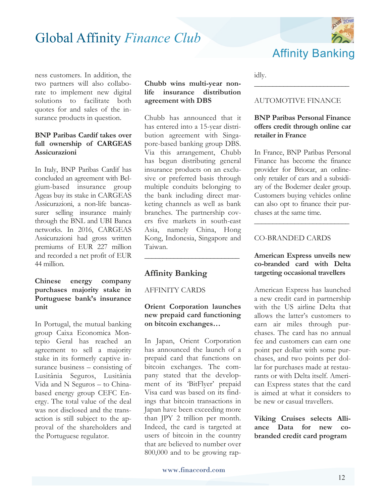

ness customers. In addition, the two partners will also collaborate to implement new digital solutions to facilitate both quotes for and sales of the insurance products in question.

#### **BNP Paribas Cardif takes over full ownership of CARGEAS Assicurazioni**

In Italy, BNP Paribas Cardif has concluded an agreement with Belgium-based insurance group Ageas buy its stake in CARGEAS Assicurazioni, a non-life bancassurer selling insurance mainly through the BNL and UBI Banca networks. In 2016, CARGEAS Assicurazioni had gross written premiums of EUR 227 million and recorded a net profit of EUR 44 million.

#### **Chinese energy company purchases majority stake in Portuguese bank's insurance unit**

In Portugal, the mutual banking group Caixa Economica Montepio Geral has reached an agreement to sell a majority stake in its formerly captive insurance business – consisting of Lusitânia Seguros, Lusitânia Vida and N Seguros – to Chinabased energy group CEFC Energy. The total value of the deal was not disclosed and the transaction is still subject to the approval of the shareholders and the Portuguese regulator.

#### **Chubb wins multi-year nonlife insurance distribution agreement with DBS**

Chubb has announced that it has entered into a 15-year distribution agreement with Singapore-based banking group DBS. Via this arrangement, Chubb has begun distributing general insurance products on an exclusive or preferred basis through multiple conduits belonging to the bank including direct marketing channels as well as bank branches. The partnership covers five markets in south-east Asia, namely China, Hong Kong, Indonesia, Singapore and Taiwan.

#### **Affinity Banking**

AFFINITY CARDS

#### **Orient Corporation launches new prepaid card functioning on bitcoin exchanges…**

**\_\_\_\_\_\_\_\_\_\_\_\_\_\_\_\_\_\_\_\_\_\_\_\_\_\_** 

In Japan, Orient Corporation has announced the launch of a prepaid card that functions on bitcoin exchanges. The company stated that the development of its 'BitFlyer' prepaid Visa card was based on its findings that bitcoin transactions in Japan have been exceeding more than JPY 2 trillion per month. Indeed, the card is targeted at users of bitcoin in the country that are believed to number over 800,000 and to be growing rapidly.

#### AUTOMOTIVE FINANCE

**\_\_\_\_\_\_\_\_\_\_\_\_\_\_\_\_\_\_\_\_\_\_\_\_\_\_** 

#### **BNP Paribas Personal Finance offers credit through online car retailer in France**

In France, BNP Paribas Personal Finance has become the finance provider for Briocar, an onlineonly retailer of cars and a subsidiary of the Bodemer dealer group. Customers buying vehicles online can also opt to finance their purchases at the same time.

**\_\_\_\_\_\_\_\_\_\_\_\_\_\_\_\_\_\_\_\_\_\_\_\_\_\_** 

#### CO-BRANDED CARDS

#### **American Express unveils new co-branded card with Delta targeting occasional travellers**

American Express has launched a new credit card in partnership with the US airline Delta that allows the latter's customers to earn air miles through purchases. The card has no annual fee and customers can earn one point per dollar with some purchases, and two points per dollar for purchases made at restaurants or with Delta itself. American Express states that the card is aimed at what it considers to be new or casual travellers.

**Viking Cruises selects Alliance Data for new cobranded credit card program**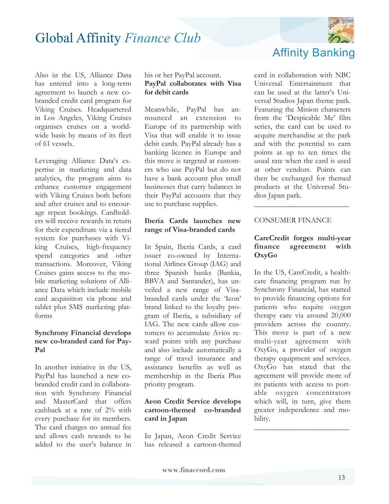

Also in the US, Alliance Data has entered into a long-term agreement to launch a new cobranded credit card program for Viking Cruises. Headquartered in Los Angeles, Viking Cruises organises cruises on a worldwide basis by means of its fleet of 61 vessels.

Leveraging Alliance Data's expertise in marketing and data analytics, the program aims to enhance customer engagement with Viking Cruises both before and after cruises and to encourage repeat bookings. Cardholders will receive rewards in return for their expenditure via a tiered system for purchases with Viking Cruises, high-frequency spend categories and other transactions. Moreover, Viking Cruises gains access to the mobile marketing solutions of Alliance Data which include mobile card acquisition via phone and tablet plus SMS marketing platforms

#### **Synchrony Financial develops new co-branded card for Pay-Pal**

In another initiative in the US, PayPal has launched a new cobranded credit card in collaboration with Synchrony Financial and MasterCard that offers cashback at a rate of 2% with every purchase for its members. The card charges no annual fee and allows cash rewards to be added to the user's balance in

#### his or her PayPal account. **PayPal collaborates with Visa for debit cards**

Meanwhile, PayPal has announced an extension to Europe of its partnership with Visa that will enable it to issue debit cards. PayPal already has a banking licence in Europe and this move is targeted at customers who use PayPal but do not have a bank account plus small businesses that carry balances in their PayPal accounts that they use to purchase supplies.

#### **Iberia Cards launches new range of Visa-branded cards**

In Spain, Iberia Cards, a card issuer co-owned by International Airlines Group (IAG) and three Spanish banks (Bankia, BBVA and Santander), has unveiled a new range of Visabranded cards under the 'Icon' brand linked to the loyalty program of Iberia, a subsidiary of IAG. The new cards allow customers to accumulate Avios reward points with any purchase and also include automatically a range of travel insurance and assistance benefits as well as membership in the Iberia Plus priority program.

#### **Aeon Credit Service develops cartoon-themed co-branded card in Japan**

In Japan, Aeon Credit Service has released a cartoon-themed

card in collaboration with NBC Universal Entertainment that can be used at the latter's Universal Studios Japan theme park. Featuring the Minion characters from the 'Despicable Me' film series, the card can be used to acquire merchandise at the park and with the potential to earn points at up to ten times the usual rate when the card is used at other vendors. Points can then be exchanged for themed products at the Universal Studios Japan park.

#### CONSUMER FINANCE

#### **CareCredit forges multi-year finance agreement with OxyGo**

**\_\_\_\_\_\_\_\_\_\_\_\_\_\_\_\_\_\_\_\_\_\_\_\_\_\_**

In the US, CareCredit, a healthcare financing program run by Synchrony Financial, has started to provide financing options for patients who require oxygen therapy care via around 20,000 providers across the country. This move is part of a new multi-year agreement with OxyGo, a provider of oxygen therapy equipment and services. OxyGo has stated that the agreement will provide more of its patients with access to portable oxygen concentrators which will, in turn, give them greater independence and mobility.

**\_\_\_\_\_\_\_\_\_\_\_\_\_\_\_\_\_\_\_\_\_\_\_\_\_\_**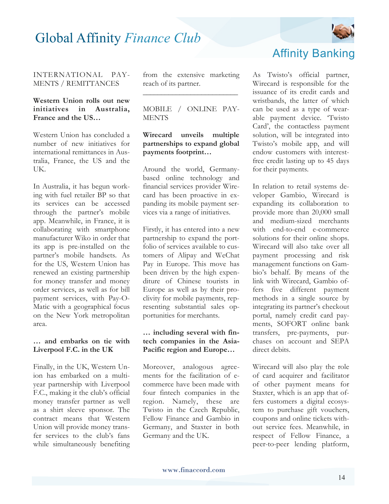

#### INTERNATIONAL PAY-MENTS / REMITTANCES

#### **Western Union rolls out new initiatives in Australia, France and the US…**

Western Union has concluded a number of new initiatives for international remittances in Australia, France, the US and the UK.

In Australia, it has begun working with fuel retailer BP so that its services can be accessed through the partner's mobile app. Meanwhile, in France, it is collaborating with smartphone manufacturer Wiko in order that its app is pre-installed on the partner's mobile handsets. As for the US, Western Union has renewed an existing partnership for money transfer and money order services, as well as for bill payment services, with Pay-O-Matic with a geographical focus on the New York metropolitan area.

#### **… and embarks on tie with Liverpool F.C. in the UK**

Finally, in the UK, Western Union has embarked on a multiyear partnership with Liverpool F.C., making it the club's official money transfer partner as well as a shirt sleeve sponsor. The contract means that Western Union will provide money transfer services to the club's fans while simultaneously benefiting

from the extensive marketing reach of its partner. **\_\_\_\_\_\_\_\_\_\_\_\_\_\_\_\_\_\_\_\_\_\_\_\_\_\_** 

#### MOBILE / ONLINE PAY-**MENTS**

#### **Wirecard unveils multiple partnerships to expand global payments footprint…**

Around the world, Germanybased online technology and financial services provider Wirecard has been proactive in expanding its mobile payment services via a range of initiatives.

Firstly, it has entered into a new partnership to expand the portfolio of services available to customers of Alipay and WeChat Pay in Europe. This move has been driven by the high expenditure of Chinese tourists in Europe as well as by their proclivity for mobile payments, representing substantial sales opportunities for merchants.

#### **… including several with fintech companies in the Asia-Pacific region and Europe…**

Moreover, analogous agreements for the facilitation of ecommerce have been made with four fintech companies in the region. Namely, these are Twisto in the Czech Republic, Fellow Finance and Gambio in Germany, and Staxter in both Germany and the UK.

### Affinity Banking

As Twisto's official partner, Wirecard is responsible for the issuance of its credit cards and wristbands, the latter of which can be used as a type of wearable payment device. 'Twisto Card', the contactless payment solution, will be integrated into Twisto's mobile app, and will endow customers with interestfree credit lasting up to 45 days for their payments.

In relation to retail systems developer Gambio, Wirecard is expanding its collaboration to provide more than 20,000 small and medium-sized merchants with end-to-end e-commerce solutions for their online shops. Wirecard will also take over all payment processing and risk management functions on Gambio's behalf. By means of the link with Wirecard, Gambio offers five different payment methods in a single source by integrating its partner's checkout portal, namely credit card payments, SOFORT online bank transfers, pre-payments, purchases on account and SEPA direct debits.

Wirecard will also play the role of card acquirer and facilitator of other payment means for Staxter, which is an app that offers customers a digital ecosystem to purchase gift vouchers, coupons and online tickets without service fees. Meanwhile, in respect of Fellow Finance, a peer-to-peer lending platform,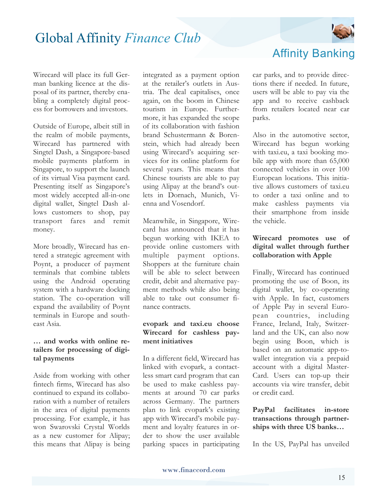

#### Wirecard will place its full German banking licence at the disposal of its partner, thereby enabling a completely digital process for borrowers and investors.

Outside of Europe, albeit still in the realm of mobile payments, Wirecard has partnered with Singtel Dash, a Singapore-based mobile payments platform in Singapore, to support the launch of its virtual Visa payment card. Presenting itself as Singapore's most widely accepted all-in-one digital wallet, Singtel Dash allows customers to shop, pay transport fares and remit money.

More broadly, Wirecard has entered a strategic agreement with Poynt, a producer of payment terminals that combine tablets using the Android operating system with a hardware docking station. The co-operation will expand the availability of Poynt terminals in Europe and southeast Asia.

#### **… and works with online retailers for processing of digital payments**

Aside from working with other fintech firms, Wirecard has also continued to expand its collaboration with a number of retailers in the area of digital payments processing. For example, it has won Swarovski Crystal Worlds as a new customer for Alipay; this means that Alipay is being integrated as a payment option at the retailer's outlets in Austria. The deal capitalises, once again, on the boom in Chinese tourism in Europe. Furthermore, it has expanded the scope of its collaboration with fashion brand Schustermann & Borenstein, which had already been using Wirecard's acquiring services for its online platform for several years. This means that Chinese tourists are able to pay using Alipay at the brand's outlets in Dornach, Munich, Vienna and Vosendorf.

Meanwhile, in Singapore, Wirecard has announced that it has begun working with IKEA to provide online customers with multiple payment options. Shoppers at the furniture chain will be able to select between credit, debit and alternative payment methods while also being able to take out consumer finance contracts.

#### **evopark and taxi.eu choose Wirecard for cashless payment initiatives**

In a different field, Wirecard has linked with evopark, a contactless smart card program that can be used to make cashless payments at around 70 car parks across Germany. The partners plan to link evopark's existing app with Wirecard's mobile payment and loyalty features in order to show the user available parking spaces in participating

car parks, and to provide directions there if needed. In future,

Affinity Banking

users will be able to pay via the app and to receive cashback from retailers located near car parks.

Also in the automotive sector, Wirecard has begun working with taxi.eu, a taxi booking mobile app with more than 65,000 connected vehicles in over 100 European locations. This initiative allows customers of taxi.eu to order a taxi online and to make cashless payments via their smartphone from inside the vehicle.

#### **Wirecard promotes use of digital wallet through further collaboration with Apple**

Finally, Wirecard has continued promoting the use of Boon, its digital wallet, by co-operating with Apple. In fact, customers of Apple Pay in several European countries, including France, Ireland, Italy, Switzerland and the UK, can also now begin using Boon, which is based on an automatic app-towallet integration via a prepaid account with a digital Master-Card. Users can top-up their accounts via wire transfer, debit or credit card.

**PayPal facilitates in-store transactions through partnerships with three US banks…**

In the US, PayPal has unveiled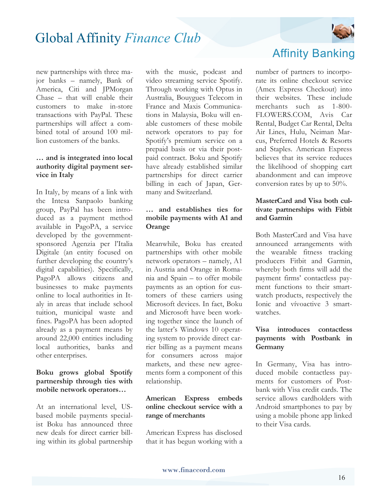

new partnerships with three major banks – namely, Bank of America, Citi and JPMorgan Chase – that will enable their customers to make in-store transactions with PayPal. These partnerships will affect a combined total of around 100 million customers of the banks.

#### **… and is integrated into local authority digital payment service in Italy**

In Italy, by means of a link with the Intesa Sanpaolo banking group, PayPal has been introduced as a payment method available in PagoPA, a service developed by the governmentsponsored Agenzia per l'Italia Digitale (an entity focused on further developing the country's digital capabilities). Specifically, PagoPA allows citizens and businesses to make payments online to local authorities in Italy in areas that include school tuition, municipal waste and fines. PagoPA has been adopted already as a payment means by around 22,000 entities including local authorities, banks and other enterprises.

#### **Boku grows global Spotify partnership through ties with mobile network operators…**

At an international level, USbased mobile payments specialist Boku has announced three new deals for direct carrier billing within its global partnership with the music, podcast and video streaming service Spotify. Through working with Optus in Australia, Bouygues Telecom in France and Maxis Communications in Malaysia, Boku will enable customers of these mobile network operators to pay for Spotify's premium service on a prepaid basis or via their postpaid contract. Boku and Spotify have already established similar partnerships for direct carrier billing in each of Japan, Germany and Switzerland.

#### **… and establishes ties for mobile payments with A1 and Orange**

Meanwhile, Boku has created partnerships with other mobile network operators – namely, A1 in Austria and Orange in Romania and Spain – to offer mobile payments as an option for customers of these carriers using Microsoft devices. In fact, Boku and Microsoft have been working together since the launch of the latter's Windows 10 operating system to provide direct carrier billing as a payment means for consumers across major markets, and these new agreements form a component of this relationship.

#### **American Express embeds online checkout service with a range of merchants**

American Express has disclosed that it has begun working with a

### Affinity Banking

number of partners to incorporate its online checkout service (Amex Express Checkout) into their websites. These include merchants such as 1-800- FLOWERS.COM, Avis Car Rental, Budget Car Rental, Delta Air Lines, Hulu, Neiman Marcus, Preferred Hotels & Resorts and Staples. American Express believes that its service reduces the likelihood of shopping cart abandonment and can improve conversion rates by up to 50%.

#### **MasterCard and Visa both cultivate partnerships with Fitbit and Garmin**

Both MasterCard and Visa have announced arrangements with the wearable fitness tracking producers Fitbit and Garmin, whereby both firms will add the payment firms' contactless payment functions to their smartwatch products, respectively the Ionic and vívoactive 3 smartwatches.

#### **Visa introduces contactless payments with Postbank in Germany**

In Germany, Visa has introduced mobile contactless payments for customers of Postbank with Visa credit cards. The service allows cardholders with Android smartphones to pay by using a mobile phone app linked to their Visa cards.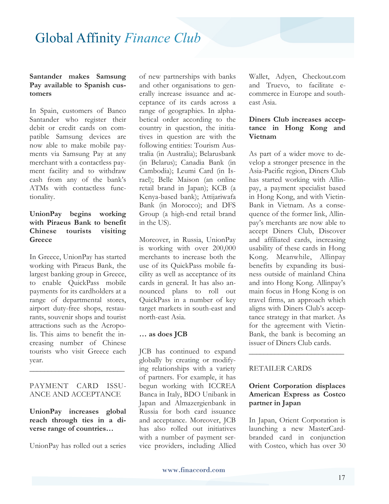#### **Santander makes Samsung Pay available to Spanish customers**

In Spain, customers of Banco Santander who register their debit or credit cards on compatible Samsung devices are now able to make mobile payments via Samsung Pay at any merchant with a contactless payment facility and to withdraw cash from any of the bank's ATMs with contactless functionality.

#### **UnionPay begins working with Piraeus Bank to benefit Chinese tourists visiting Greece**

In Greece, UnionPay has started working with Piraeus Bank, the largest banking group in Greece, to enable QuickPass mobile payments for its cardholders at a range of departmental stores, airport duty-free shops, restaurants, souvenir shops and tourist attractions such as the Acropolis. This aims to benefit the increasing number of Chinese tourists who visit Greece each year.

#### PAYMENT CARD ISSU-ANCE AND ACCEPTANCE

**\_\_\_\_\_\_\_\_\_\_\_\_\_\_\_\_\_\_\_\_\_\_\_\_\_\_** 

**UnionPay increases global reach through ties in a diverse range of countries…**

UnionPay has rolled out a series

of new partnerships with banks and other organisations to generally increase issuance and acceptance of its cards across a range of geographies. In alphabetical order according to the country in question, the initiatives in question are with the following entities: Tourism Australia (in Australia); Belarusbank (in Belarus); Canadia Bank (in Cambodia); Leumi Card (in Israel); Belle Maison (an online retail brand in Japan); KCB (a Kenya-based bank); Attijariwafa Bank (in Morocco); and DFS Group (a high-end retail brand in the US).

Moreover, in Russia, UnionPay is working with over 200,000 merchants to increase both the use of its QuickPass mobile facility as well as acceptance of its cards in general. It has also announced plans to roll out QuickPass in a number of key target markets in south-east and north-east Asia.

#### **… as does JCB**

JCB has continued to expand globally by creating or modifying relationships with a variety of partners. For example, it has begun working with ICCREA Banca in Italy, BDO Unibank in Japan and Almazergienbank in Russia for both card issuance and acceptance. Moreover, JCB has also rolled out initiatives with a number of payment service providers, including Allied

Wallet, Adyen, Checkout.com and Truevo, to facilitate ecommerce in Europe and southeast Asia.

#### **Diners Club increases acceptance in Hong Kong and Vietnam**

As part of a wider move to develop a stronger presence in the Asia-Pacific region, Diners Club has started working with Allinpay, a payment specialist based in Hong Kong, and with Vietin-Bank in Vietnam. As a consequence of the former link, Allinpay's merchants are now able to accept Diners Club, Discover and affiliated cards, increasing usability of these cards in Hong Kong. Meanwhile, Allinpay benefits by expanding its business outside of mainland China and into Hong Kong. Allinpay's main focus in Hong Kong is on travel firms, an approach which aligns with Diners Club's acceptance strategy in that market. As for the agreement with Vietin-Bank, the bank is becoming an issuer of Diners Club cards.

#### RETAILER CARDS

#### **Orient Corporation displaces American Express as Costco partner in Japan**

**\_\_\_\_\_\_\_\_\_\_\_\_\_\_\_\_\_\_\_\_\_\_\_\_\_\_** 

In Japan, Orient Corporation is launching a new MasterCardbranded card in conjunction with Costco, which has over 30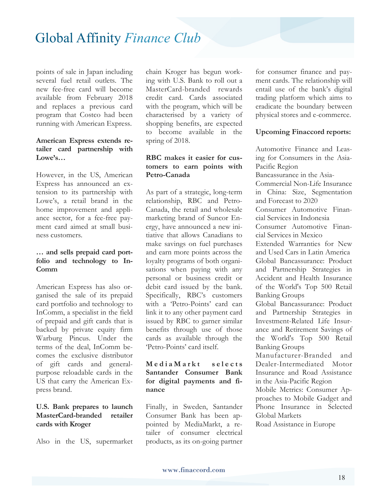points of sale in Japan including several fuel retail outlets. The new fee-free card will become available from February 2018 and replaces a previous card program that Costco had been running with American Express.

#### **American Express extends retailer card partnership with Lowe's…**

However, in the US, American Express has announced an extension to its partnership with Lowe's, a retail brand in the home improvement and appliance sector, for a fee-free payment card aimed at small business customers.

#### **… and sells prepaid card portfolio and technology to In-Comm**

American Express has also organised the sale of its prepaid card portfolio and technology to InComm, a specialist in the field of prepaid and gift cards that is backed by private equity firm Warburg Pincus. Under the terms of the deal, InComm becomes the exclusive distributor of gift cards and generalpurpose reloadable cards in the US that carry the American Express brand.

#### **U.S. Bank prepares to launch MasterCard-branded retailer cards with Kroger**

Also in the US, supermarket

chain Kroger has begun working with U.S. Bank to roll out a MasterCard-branded rewards credit card. Cards associated with the program, which will be characterised by a variety of shopping benefits, are expected to become available in the spring of 2018.

#### **RBC makes it easier for customers to earn points with Petro-Canada**

As part of a strategic, long-term relationship, RBC and Petro-Canada, the retail and wholesale marketing brand of Suncor Energy, have announced a new initiative that allows Canadians to make savings on fuel purchases and earn more points across the loyalty programs of both organisations when paying with any personal or business credit or debit card issued by the bank. Specifically, RBC's customers with a 'Petro-Points' card can link it to any other payment card issued by RBC to garner similar benefits through use of those cards as available through the 'Petro-Points' card itself.

#### $M$  e d i a M a r k t selects **Santander Consumer Bank for digital payments and finance**

Finally, in Sweden, Santander Consumer Bank has been appointed by MediaMarkt, a retailer of consumer electrical products, as its on-going partner for consumer finance and payment cards. The relationship will entail use of the bank's digital trading platform which aims to eradicate the boundary between physical stores and e-commerce.

#### **Upcoming Finaccord reports:**

Automotive Finance and Leasing for Consumers in the Asia-Pacific Region Bancassurance in the Asia-Commercial Non-Life Insurance in China: Size, Segmentation and Forecast to 2020 Consumer Automotive Financial Services in Indonesia Consumer Automotive Financial Services in Mexico Extended Warranties for New and Used Cars in Latin America Global Bancassurance: Product and Partnership Strategies in Accident and Health Insurance of the World's Top 500 Retail Banking Groups Global Bancassurance: Product and Partnership Strategies in Investment-Related Life Insurance and Retirement Savings of the World's Top 500 Retail Banking Groups Manufacturer-Branded and Dealer-Intermediated Motor Insurance and Road Assistance in the Asia-Pacific Region

Mobile Metrics: Consumer Approaches to Mobile Gadget and Phone Insurance in Selected Global Markets

Road Assistance in Europe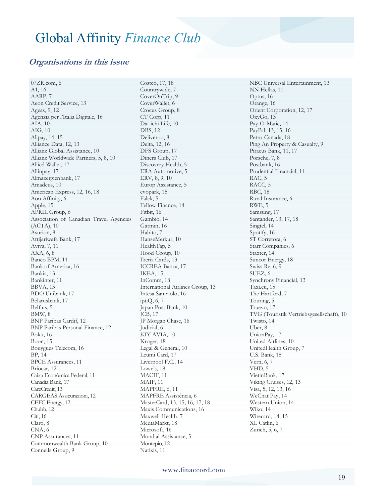#### **Organisations in this issue**

07ZR.com, 6 A1, 16 AARP, 7 Aeon Credit Service, 13 Ageas, 9, 12 Agenzia per l'Italia Digitale, 16 AIA, 10 AIG, 10 Alipay, 14, 15 Alliance Data, 12, 13 Allianz Global Assistance, 10 Allianz Worldwide Partners, 5, 8, 10 Allied Wallet, 17 Allinpay, 17 Almazergienbank, 17 Amadeus, 10 American Express, 12, 16, 18 Aon Affinity, 6 Apple, 15 APRIL Group, 6 Association of Canadian Travel Agencies (ACTA), 10 Asurion, 8 Attijariwafa Bank, 17 Aviva, 7, 11 AXA, 6, 8 Banco BPM, 11 Bank of America, 16 Bankia, 13 Bankinter, 11 BBVA, 13 BDO Unibank, 17 Belarusbank, 17 Belfius, 5 BMW, 8 BNP Paribas Cardif, 12 BNP Paribas Personal Finance, 12 Boku, 16 Boon, 15 Bouygues Telecom, 16 BP, 14 BPCE Assurances, 11 Briocar, 12 Caixa Econômica Federal, 11 Canadia Bank, 17 CareCredit, 13 CARGEAS Assicurazioni, 12 CEFC Energy, 12 Chubb, 12 Citi, 16 Claro, 8 CNA, 6 CNP Assurances, 11 Commonwealth Bank Group, 10 Connells Group, 9

Costco, 17, 18 Countrywide, 7 CoverOnTrip, 9 CoverWallet, 6 Crocus Group, 8 CT Corp, 11 Dai-ichi Life, 10 DBS, 12 Deliveroo, 8 Delta, 12, 16 DFS Group, 17 Diners Club, 17 Discovery Health, 5 ERA Automotive, 5 ERV, 8, 9, 10 Europ Assistance, 5 evopark, 15 Falck, 5 Fellow Finance, 14 Fitbit, 16 Gambio, 14 Garmin, 16 Habito, 7 HanseMerkur, 10 HealthTap, 5 Hood Group, 10 Iberia Cards, 13 ICCREA Banca, 17 IKEA, 15 InComm, 18 International Airlines Group, 13 Intesa Sanpaolo, 16 iptiQ, 6, 7 Japan Post Bank, 10 JCB, 17 JP Morgan Chase, 16 Judicial, 6 KIY AVIA, 10 Kroger, 18 Legal & General, 10 Leumi Card, 17 Liverpool F.C., 14 Lowe's, 18 MACIF, 11 MAIF, 11 MAPFRE, 6, 11 MAPFRE Assistência, 6 MasterCard, 13, 15, 16, 17, 18 Maxis Communications, 16 Maxwell Health, 7 MediaMarkt, 18 Microsoft, 16 Mondial Assistance, 5 Montepio, 12 Natixis, 11

NBC Universal Entertainment, 13 NN Hellas, 11 Optus, 16 Orange, 16 Orient Corporation, 12, 17 OxyGo, 13 Pay-O-Matic, 14 PayPal, 13, 15, 16 Petro-Canada, 18 Ping An Property & Casualty, 9 Piraeus Bank, 11, 17 Porsche, 7, 8 Postbank, 16 Prudential Financial, 11 RAC, 5 RACC, 5 RBC, 18 Rural Insurance, 6 RWE, 5 Samsung, 17 Santander, 13, 17, 18 Singtel, 14 Spotify, 16 ST Corretora, 6 Starr Companies, 6 Staxter, 14 Suncor Energy, 18 Swiss Re, 6, 9 SUEZ, 6 Synchrony Financial, 13 Taxi.eu, 15 The Hartford, 7 Touring, 5 Truevo, 17 TVG (Touristik Vertriebsgesellschaft), 10 Twisto, 14 Uber, 8 UnionPay, 17 United Airlines, 10 UnitedHealth Group, 7 U.S. Bank, 18 Verti, 6, 7 VHD, 5 VietinBank, 17 Viking Cruises, 12, 13 Visa, 5, 12, 13, 16 WeChat Pay, 14 Western Union, 14 Wiko, 14 Wirecard, 14, 15 XL Catlin, 6 Zurich, 5, 6, 7

www.finaccord.com